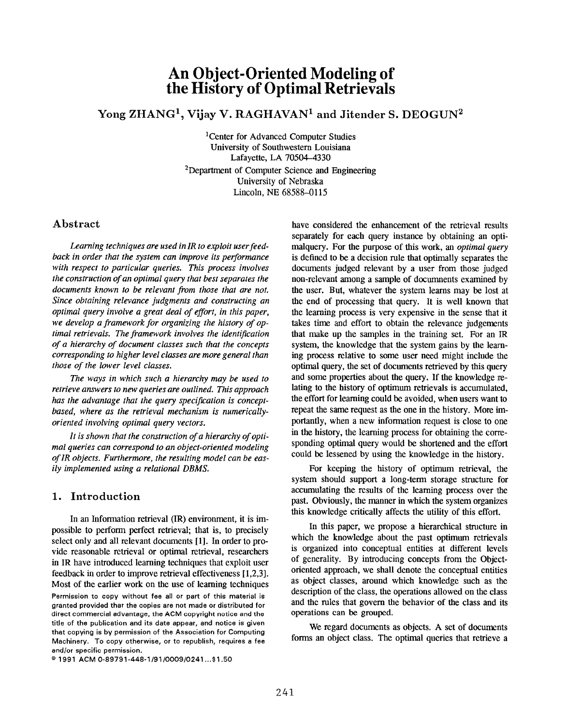# An Object-Oriented Modeling of the History of Optimal Retrievals

# Yong ZHANG<sup>1</sup>, Vijay V. RAGHAVAN<sup>1</sup> and Jitender S. DEOGUN<sup>2</sup>

1Center for Advanced Computer Studies University of Southwestern Louisiana Lafayette, LA 70504-4330 2Department of Computer Science and Engineering University of Nebraska Lincoln, NE 68588-0115

### Abstract

Learning techniques are used in IR to exploit user feedback in order that the system can improve its performance with respect to particular queries. This process involves the construction of an optimal query that best separates the documents known to be relevant from those that are not. Since obtaining relevance judgments and constructing an optimal query involve a great deal of effort, in this paper, we develop a framework for organizing the history of optimal retrievals. The framework involves the identification of a hierarchy of document classes such that the concepts corresponding to higher level classes are more general than those of the lower level classes.

The ways in which such a hierarchy may be used to retrieve answers to new queries are outlined. This approach has the advantage that the query specification is conceptbased, where as the retrieval mechanism is numericallyoriented involving optimal query vectors.

It is shown that the construction of a hierarchy of optimal queries can correspond to an object-oriented modeling of IR objects. Furthermore, the resulting model can be easily implemented using a relational DBMS.

## 1. Introduction

In an Information retrieval (IR) environment, it is impossible to perform perfect retrieval; that is, to precisely select only and all relevant documents [1]. In order to provide reasonable retrieval or optimal retrieval, researchers in IR have introduced learning techniques that exploit user feedback in order to improve retrieval effectiveness [1,2,3]. Most of the earlier work on the use of learning techniques

 $0.1991$  ACM 0-89791-448-1/91/0009/0241...\$1.50

have considered the enhancement of the retrieval results separately for each query instance by obtaining an optimalquery. For the purpose of this work, an *optimal query* is defined to be a decision rule that optimally separates the documents judged relevant by a user from those judged non-relevant among a sample of documents examined by the user. But, whatever the system learns may be lost at the end of processing that query. It is well known that the learning process is very expensive in the sense that it takes time and effort to obtain the relevance judgements that make up the samples in the training set. For an IR system, the knowledge that the system gains by the learning process relative to some user need might include the optimal query, the set of documents retrieved by this query and some properties about the query. If the knowledge relating to the history of optimum retrievals is accumulated, the effort for learning could be avoided, when users want to repeat the same request as the one in the history. More importantly, when a new information request is close to one in the history, the learning process for obtaining the corresponding optimal query would be shortened and the effort could be lessened by using the knowledge in the history.

For keeping the history of optimum retrieval, the system should support a long-term storage structure for accumulating the results of the learning process over the past. Obviously, the manner in which the system organizes this knowledge critically affects the utility of this effort.

In this paper, we propose a hierarchical structure in which the knowledge about the past optimum retrievals is organized into conceptual entities at different levels of generality. By introducing concepts from the Objectoriented approach, we shall denote the conceptual entities as object classes, around which knowledge such as 'the description of the class, the operations allowed on the class and the rules that govern the behavior of the class and its operations can be grouped.

We regard documents as objects. A set of documents forms an object class. The optimal queries that retrieve a

Permission to copy without fee all or part of this material is granted provided that the copies are not made or distributed for direct commercial advantage, the ACM copyright notice and the title of the publication and its date appear, and notice is given that copying is by permission of the Association for Computing Machinery. To copy otherwise, or to republish, requires a fee and/or specific permission.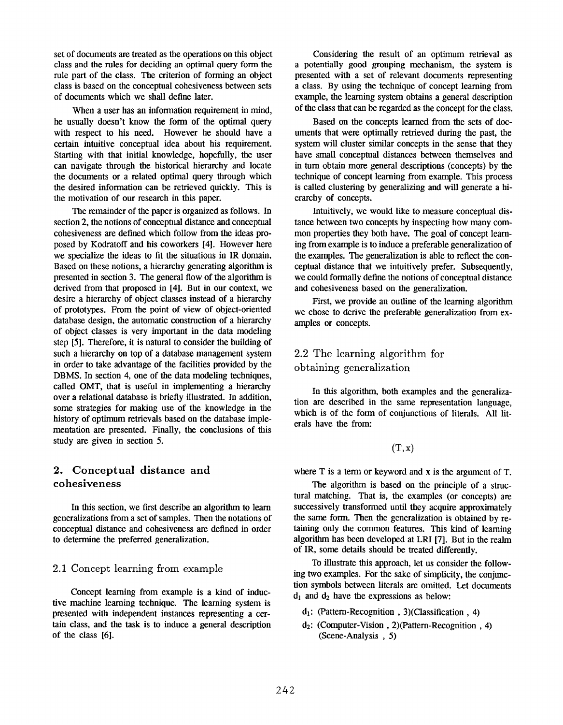set of documents are treated as the operations on this object class and the rules for deciding an optimal query form the rule part of the class. The criterion of forming an object class is based on the conceptual cohesiveness between sets of documents which we shall define later.

When a user has an information requirement in mind, he usually doesn't know the form of the optimal query with respect to his need. However he should have a certain intuitive conceptual idea about his requirement. Starting with that initial knowledge, hopefully, the user can navigate through the historical hierarchy and locate the documents or a related optimal query through which the desired information can be retrieved quickly. This is the motivation of our research in this paper.

The remainder of the paper is organized as follows. In section 2, the notions of conceptual distance and conceptual cohesiveness are defined which follow from the ideas proposed by Kodratoff and his coworkers [4]. However here we specialize the ideas to fit the situations in IR domain. Based on these notions, a hierarchy generating algorithm is presented in section 3. The general flow of the algorithm is derived from that proposed in [4]. But in our context, we desire a hierarchy of object classes instead of a hierarchy of prototypes. From the point of view of object-oriented database design, the automatic construction of a hierarchy of object classes is very important in the data modeling step [5]. Therefore, it is natural to consider the building of such a hierarchy on top of a database management system in order to take advantage of the facilities provided by the DBMS. In section 4, one of the data modeling techniques, called OMT, that is useful in implementing a hierarchy over a relational database is briefly illustrated. In addition, some strategies for making use of the knowledge in the history of optimum retrievals based on the database implementation are presented. Finally, the conclusions of this study are given in section 5.

# 2. Conceptual distance and cohesiveness

In this section, we first describe an algorithm to learn generalizations from a set of samples. Then the notations of conceptual distance and cohesiveness are defined in order to determine the preferred generalization.

### 2.1 Concept learning from example

Concept learning from example is a kind of inductive machine learning technique. The learning system is presented with independent instances representing a certain class, and the task is to induce a general description of the class [6].

Considering the result of an optimum retrieval as a potentially good grouping mechanism, the system is presented with a set of relevant documents representing a class. By using the technique of concept learning from example, the learning system obtains a general description of the class that can be regarded as the concept for the class.

Based on the concepts learned from the sets of documents that were optimally retrieved during the past, the system will cluster similar concepts in the sense that they have small conceptual distances between themselves and in turn obtain more general descriptions (concepts) by the technique of concept learning from example. This process is called clustering by generalizing and will generate a hierarchy of concepts.

Intuitively, we would like to measure conceptual distance between two concepts by inspecting how many common properties they both have. The goal of concept learning from example is to induce a preferable generalization of the examples. The generalization is able to reflect the conceptual distance that we intuitively prefer. Subsequently, we could formally define the notions of conceptual distance and cohesiveness based on the generalization.

First, we provide an outline of the learning algorithm we chose to derive the preferable generalization from examples or concepts.

# 2.2 The learning algorithm for obtaining generalization

In this algorithm, both examples and the generalization are described in the same representation language, which is of the form of conjunctions of Iiterals. All literals have the from

### $(T, x)$

where T is a term or keyword and x is the argument of T.

The algorithm is based on the principle of a stmctural matching. That is, the examples (or concepts) are successively transformed until they acquire approximately the same form. Then the generalization is obtained by retaining only the common features. This kind of learning algorithm has been developed at LRI [7]. But in the realm of IR, some details should be treated diffenmtly.

To illustrate this approach, let us consider the following two examples. For the sake of simplicity, the conjunction symbols between literals are omitted. Let documents  $d_1$  and  $d_2$  have the expressions as below:

- $d_1$ : (Pattern-Recognition, 3)(Classification, 4)
- dz: (Computer-Vision , 2)(Pattern-Recognition , 4) (Scene-Analysis , 5)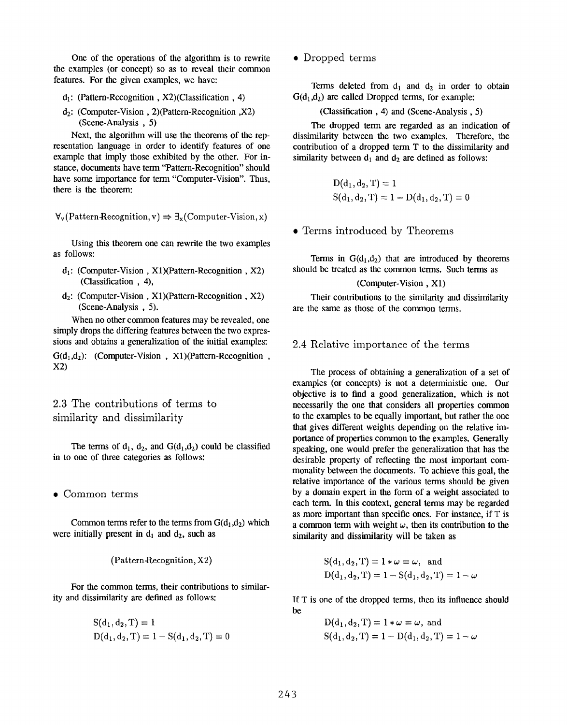One of the operations of the algorithm is to rewrite the examples (or concept) so as to reveal their common features. For the given examples, we have

- $d_1$ : (Pattern-Recognition, X2)(Classification, 4)
- dz: (Computer-Vision , 2)(Pattern-Recognition ,X2) (Scene-Analysis , 5)

Next, the algorithm will use the theorems of the representation language in order to identify features of one example that imply those exhibited by the other. For instance, documents have term "Pattern-Recognition" should have some importance for term "Computer-Vision", Thus, there is the theorem

```
\forall<sub>v</sub>(Pattern-Recognition, v) \Rightarrow \exists<sub>x</sub>(Computer-Vision, x)
```
Using this theorem one can rewrite the two examples as follows:

- $d_1$ : (Computer-Vision, X1)(Pattern-Recognition, X2) (Classification , 4),
- dz: (Computer-Vision , Xl)(Pattern-Recognition , X2) (Scene-Analysis , 5).

When no other common features may be revealed, one simply drops the differing features between the two expressions and obtains a generalization of the initial examples:

 $G(d_1, d_2)$ : (Computer-Vision, X1)(Pattern-Recognition, x2)

# 2.3 The contributions of terms to similarity and dissimilarity

The terms of  $d_1$ ,  $d_2$ , and  $G(d_1, d_2)$  could be classified in to one of three categories as follows:

● Common terms

Common terms refer to the terms from  $G(d_1, d_2)$  which were initially present in  $d_1$  and  $d_2$ , such as

 $(Patten\text{-}Reognition, X2)$ 

For the common terms, their contributions to similarity and dissimilarity are defined as follows:

$$
S(d_1, d_2, T) = 1
$$
  
D(d<sub>1</sub>, d<sub>2</sub>, T) = 1 - S(d<sub>1</sub>, d<sub>2</sub>, T) = 0

● Dropped terms

Terms deleted from  $d_1$  and  $d_2$  in order to obtain  $G(d_1, d_2)$  are called Dropped terms, for example:

(Classification, 4) and (Scene-Analysis, 5)

The dropped term are regarded as an indication of dissimilarity between the two examples. Therefore, the contribution of a dropped term T to the dissimilarity and similarity between  $d_1$  and  $d_2$  are defined as follows:

$$
D(d_1, d_2, T) = 1
$$
  
S(d<sub>1</sub>, d<sub>2</sub>, T) = 1 – D(d<sub>1</sub>, d<sub>2</sub>, T) = 0

● Terms introduced by Theorems

Terms in  $G(d_1, d_2)$  that are introduced by theorems should be treated as the common terms. Such terms as

#### (Computer-Vision , Xl)

Their contributions to the similarity and dissimilarity are the same as those of the common terms.

### 2.4 Relative importance of the terms

The process of obtaining a generalization of a set of examples (or concepts) is not a deterministic one. Our objective is to find a good generalization, which is not necessarily the one that considers all properties common to the examples to be equally important, but rather the one that gives different weights depending on the relative importance of properties common to the examples. Generally speaking, one would prefer the generalization that has the desirable property of reflecting the most important commonality between the documents. To achieve this goal, the relative importance of the various terms should be given by a domain expert in the form of a weight associated to each term. In this context, general terms may be regarded as more important than specific ones. For instance, if T is a common term with weight  $\omega$ , then its contribution to the similarity and dissimilarity will be taken as

$$
S(d_1, d_2, T) = 1 * \omega = \omega
$$
, and  
\n $D(d_1, d_2, T) = 1 - S(d_1, d_2, T) = 1 - \omega$ 

If T is one of the dropped terms, then its influence should be

$$
D(d_1, d_2, T) = 1 * \omega = \omega, \text{ and}
$$
  
S(d<sub>1</sub>, d<sub>2</sub>, T) = 1 - D(d<sub>1</sub>, d<sub>2</sub>, T) = 1 - \omega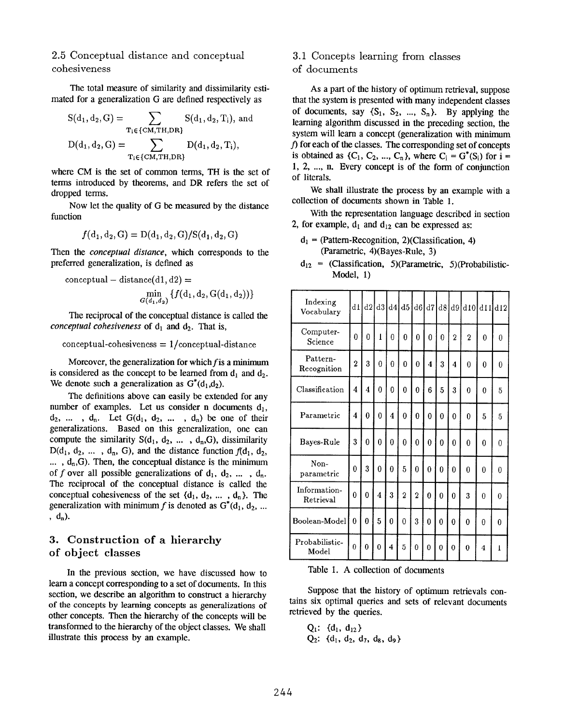### 2.5 Conceptual distance and conceptual cohesiveness

The total measure of similarity and dissimilarity estimated for a generalization G are defined respectively as

$$
S(d_1, d_2, G) = \sum_{T_i \in \{CM, TH, DR\}} S(d_1, d_2, T_i), \text{ and}
$$

$$
D(d_1, d_2, G) = \sum_{T_i \in \{CM, TH, DR\}} D(d_1, d_2, T_i),
$$

where CM is the set of common terms, TH is the set of terms introduced by theorems, and DR refers the set of dropped terms.

Now let the quality of G be measured by the distance function

$$
f(d_1, d_2, G) = D(d_1, d_2, G)/S(d_1, d_2, G)
$$

Then the *conceptual distance*, which corresponds to the preferred generalization, is defined as

conceptual – distance(d1, d2) =  
\n
$$
\min_{G(d_1, d_2)} \{f(d_1, d_2, G(d_1, d_2))\}
$$

The reciprocal of the conceptual distance is called the conceptual cohesiveness of  $d_1$  and  $d_2$ . That is,

 $conceptual-cohesiveness = 1/conceptual-distance$ 

Moreover, the generalization for which  $f$  is a minimum is considered as the concept to be learned from  $d_1$  and  $d_2$ . We denote such a generalization as  $G^*(d_1, d_2)$ .

The definitions above can easily be extended for any number of examples. Let us consider n documents  $d_1$ ,  $d_2$ , ...,  $d_n$ . Let  $G(d_1, d_2, \ldots, d_n)$  be one of their generalizations. Based on this generalization, one can compute the similarity  $S(d_1, d_2, \ldots, d_n, G)$ , dissimilarity  $D(d_1, d_2, \ldots, d_n, G)$ , and the distance function  $f(d_1, d_2, \ldots, d_n, G)$  $\ldots$ ,  $d_n$ , G). Then, the conceptual distance is the minimum of f over all possible generalizations of  $d_1, d_2, \ldots, d_n$ . The reciprocal of the conceptual distance is called the conceptual cohesiveness of the set  $\{d_1, d_2, ..., d_n\}$ . The generalization with minimum f is denoted as  $G^*(d_1, d_2, ...$ ,  $d_n$ ).

## 3. Construction of a hierarchy of object classes

In the previous section, we have discussed how to learn a concept corresponding to a set of documents. In this section, we describe an algorithm to construct a hierarchy of the concepts by learning concepts as generalizations of other concepts. Then the hierarchy of the concepts will be transformed to the hierarchy of the object classes. We shall illustrate this process by an example.

# 3.1 Concepts learning from classes

### of documents

As a part of the history of optimum retrieval, suppose that the system is presented with many independent classes of documents, say  $\{S_1, S_2, ..., S_n\}$ . By applying the learning algorithm discussed in the preceding section, the system will learn a concept (generalization with minimum f) for each of the classes. The corresponding set of concepts is obtained as  $\{C_1, C_2, ..., C_n\}$ , where  $C_i = G^*(S_i)$  for  $i =$ 1, 2, .... n. Every concept is of the form of conjunction of literals.

We shall illustrate the process by an example with a collection of documents shown in Table 1.

With the representation language described in section 2, for example,  $d_1$  and  $d_{12}$  can be expressed as:

- $d_1$  = (Pattern-Recognition, 2)(Classification, 4) (Parametric, 4)(Bayes-Rule, 3)
- $d_{12}$  = (Classification, 5)(Parametric, 5)(Probabilistic-Model, 1)

| Indexing<br>Vocabulary    | dl             |                         |                |                | d2 d3 d4 d5 d6 d7 d8 |                |                     |                |                | d9 d10 d11 d12 |          |              |
|---------------------------|----------------|-------------------------|----------------|----------------|----------------------|----------------|---------------------|----------------|----------------|----------------|----------|--------------|
| Computer-<br>Science      | $\overline{0}$ | $\bf{0}$                | $\mathbf{I}$   | $\theta$       | $\theta$             | $\bf{0}$       | 0                   | $\theta$       | $\overline{2}$ | $\overline{2}$ | $\theta$ | $\theta$     |
| Pattern-<br>Recognition   | $\overline{2}$ | 3                       | 0              | 0              | 0                    | $\theta$       | $\overline{\bf{4}}$ | 3              | 4              | $\theta$       | 0        | 0            |
| Classification            | 4              | $\overline{\mathbf{4}}$ | 0              | 0              | $\mathbf{0}$         | $\theta$       | 6                   | 5              | 3              | 0              | 0        | 5            |
| Parametric                | 4              | $\theta$                | $\bf{0}$       | 4              | $\overline{0}$       | $\bf{0}$       | $\mathbf{0}$        | 0              | $\theta$       | $\Omega$       | 5        | 5            |
| Bayes-Rule                | 3              | $\bf{0}$                | $\bf{0}$       | $\overline{0}$ | $\boldsymbol{0}$     | $\overline{0}$ | $\bf{0}$            | 0              | 0              | $\overline{0}$ | $\theta$ | $\mathbf{0}$ |
| Non-<br>parametric        | $\Omega$       | 3                       | $\theta$       | $\theta$       | 5                    | $\Omega$       | $\theta$            | $\Omega$       | $\Omega$       | $\theta$       | $\theta$ | $\mathbf{0}$ |
| Information-<br>Retrieval | $\overline{0}$ | $\overline{0}$          | 4              | 3              | $\overline{2}$       | $\overline{2}$ | $\theta$            | $\overline{0}$ | $\theta$       | 3              | 0        | $\mathbf{0}$ |
| Boolean-Model             | $\theta$       | $\Omega$                | 5              | 0              | $\overline{0}$       | 3              | $\Omega$            | $\theta$       | 0              | $\theta$       | $\theta$ | 0            |
| Probabilistic-<br>Model   | $\theta$       | $\theta$                | $\overline{0}$ | $\overline{4}$ | 5                    | $\bf{0}$       | $\bf{0}$            | $\overline{0}$ | $\theta$       | $\bf{0}$       | 4        | $\mathbf{I}$ |

Table 1. A collection of documents

Suppose that the history of optimum retrievals contains six optimal queries and sets of relevant documents retrieved by the queries.

$$
Q_1
$$
:  $\{d_1, d_{12}\}$   
 $Q_2$ :  $\{d_1, d_2, d_7, d_8, d_9\}$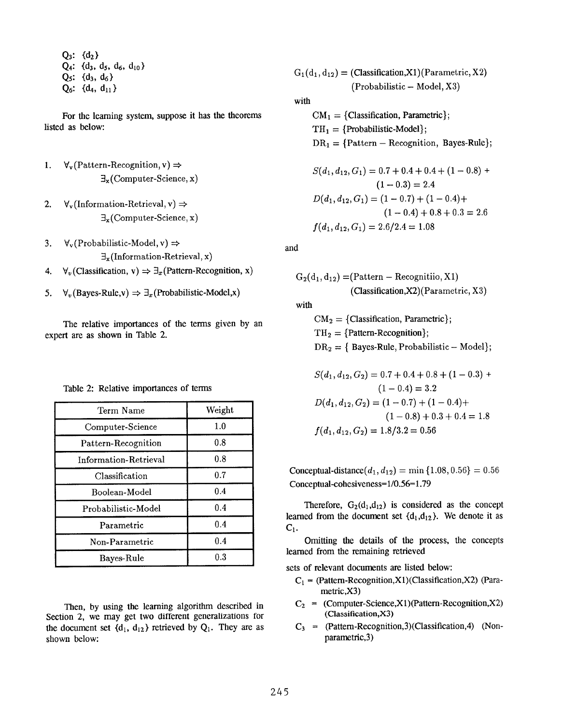$Q_3$ :  $\{d_2\}$  $Q_4$ :  $\{d_3, d_5, d_6, d_{10}\}$  $Q_5$ :  $\{d_3, d_6\}$  $Q_6$ :  $\{d_4, d_{11}\}$ 

For the learning system, suppose it has the theorems listed as below

- 1.  $\forall$ <sub>v</sub>(Pattern-Recognition, v)  $\Rightarrow$  $\exists$ <sub>x</sub>(Computer-Science, x)
- 2.  $\forall$ <sub>v</sub>(Information-Retrieval, v)  $\Rightarrow$  $\exists_{x}$ (Computer-Science, x)
- 3.  $\forall$ <sub>v</sub>(Probabilistic-Model, v)  $\Rightarrow$  $\exists$ <sub>x</sub>(Information-Retrieval, x)
- 4.  $\forall v$  (Classification, v)  $\Rightarrow \exists x$  (Pattern-Recognition, x)
- 5.  $\forall_v$ (Bayes-Rule,v)  $\Rightarrow \exists_x$ (Probabilistic-Model,x)

The relative importances of the terms given by an expert are as shown in Table 2.

|  |  | Table 2: Relative importances of terms |  |  |
|--|--|----------------------------------------|--|--|
|--|--|----------------------------------------|--|--|

| Term Name             | Weight |
|-----------------------|--------|
| Computer-Science      | 1.0    |
| Pattern-Recognition   | 0.8    |
| Information-Retrieval | 0.8    |
| Classification        | 0.7    |
| Boolean-Model         | 0.4    |
| Probabilistic-Model   | 0.4    |
| Parametric            | 0.4    |
| Non-Parametric        | 0.4    |
| Bayes-Rule            | 0.3    |

Then, by using the learning algorithm described in Section 2, we may get two different generalizations for the document set  ${d_1, d_{12}}$  retrieved by  $Q_1$ . They are as shown below:

$$
G_1(d_1, d_{12}) = (Classification, X1)(Parametric, X2)
$$
  
(Probabilistic – Model, X3)

with

 $CM_1 = \{Classification, Parametric\};$  $TH_1 = {Probability-Model};$  $DR<sub>1</sub> = {Pattern - Recognition, Bayes-Rule};$ 

$$
S(d_1, d_{12}, G_1) = 0.7 + 0.4 + 0.4 + (1 - 0.8) +
$$
  
\n
$$
(1 - 0.3) = 2.4
$$
  
\n
$$
D(d_1, d_{12}, G_1) = (1 - 0.7) + (1 - 0.4) +
$$
  
\n
$$
(1 - 0.4) + 0.8 + 0.3 = 2.6
$$
  
\n
$$
f(d_1, d_{12}, G_1) = 2.6/2.4 = 1.08
$$

and

$$
G_2(d_1, d_{12}) = (Pattern - Recognition, X1)
$$
  
(Classification, X2)(Parametric, X3)  
with  

$$
CM_2 = \{Classification, Parametric\};
$$
  

$$
TH_2 = \{Pattern-Recognition\};
$$

 $DR<sub>2</sub> = { Bayes-Rule, Probabilistic - Model};$  $S(d, d_{12}, G_2) = 0.7 \pm 0.4 \pm 0.8 \pm (1 - 0.3) +$ 

$$
S(a_1, a_{12}, a_{2}) = 0.7 + 0.4 + 0.6 + (1 - 0.5) + (1 - 0.4) = 3.2
$$
  

$$
D(d_1, d_{12}, G_2) = (1 - 0.7) + (1 - 0.4) + (1 - 0.8) + 0.3 + 0.4 = 1.8
$$
  

$$
f(d_1, d_{12}, G_2) = 1.8/3.2 = 0.56
$$

Conceptual-distance $(d_1, d_{12}) = \min\{1.08, 0.56\} = 0.56$ Conceptual-cohesiveness= $1/0.56=1.79$ 

Therefore,  $G_2(d_1, d_{12})$  is considered as the concept learned from the document set  $\{d_1, d_{12}\}$ . We denote it as  $C_1$ .

Omitting the details of the process, the concepts learned from the remaining retrieved

sets of relevant documents are listed below:

- $C_1$  = (Pattern-Recognition,X1) (Classification,X2) (Parametric,X3)
- $C_2$  = (Computer-Science,X1)(Pattern-Recognition,X2) (Classification,X3)
- $C_3$  = (Pattern-Recognition, 3) (Classification, 4) (Nonparametric,3)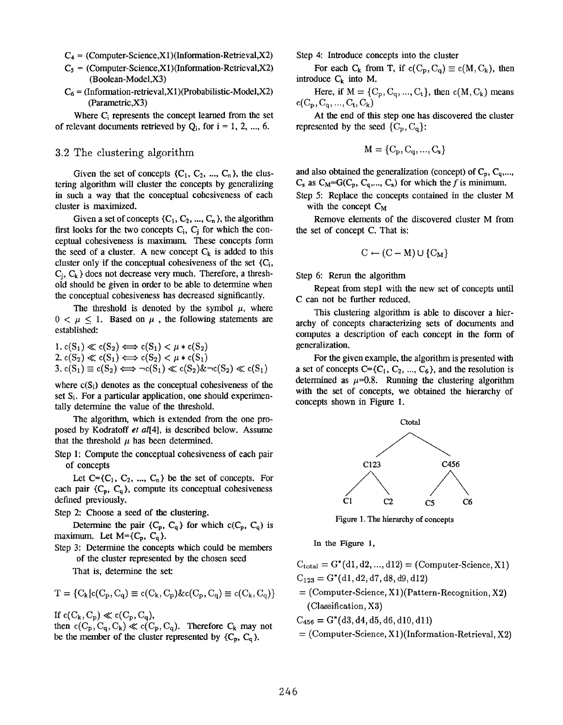- $C_4 = (Computer-Science, X1)(Information-Retrieval, X2)$
- $C_5 = (Computer-Science.X1)(Information-Retrieval.X2)$ (Boolean-Model,X3)
- $C_6$  = (Information-retrieval,X1)(Probabilistic-Model,X2) (Parametric,X3)

Where Ci represents the concept learned from the set of relevant documents retrieved by  $Q_i$ , for  $i = 1, 2, ..., 6$ .

### 3.2 The clustering algorithm

Given the set of concepts  $\{C_1, C_2, ..., C_n\}$ , the clustering algorithm will cluster the concepts by generalizing in such a way that the conceptual cohesiveness of each cluster is maximized.

Given a set of concepts  $\{C_1, C_2, ..., C_n\}$ , the algorithm first looks for the two concepts  $C_i$ ,  $C_i$  for which the conceptual cohesiveness is maximum. These concepts form the seed of a cluster. A new concept  $C_k$  is added to this cluster only if the conceptual cohesiveness of the set  ${C_i}$ ,  $C_i$ ,  $C_k$  } does not decrease very much. Therefore, a threshold should be given in order to be able to determine when the conceptual cohesiveness has decreased significantly.

The threshold is denoted by the symbol  $\mu$ , where  $0 < \mu < 1$ . Based on  $\mu$ , the following statements are established

1. 
$$
c(S_1) \ll c(S_2) \Longleftrightarrow c(S_1) < \mu * c(S_2)
$$
  
\n2.  $c(S_2) \ll c(S_1) \Longleftrightarrow c(S_2) < \mu * c(S_1)$   
\n3.  $c(S_1) \equiv c(S_2) \Longleftrightarrow \neg c(S_1) \ll c(S_2) \& \neg c(S_2) \ll c(S_1)$ 

where  $c(S_i)$  denotes as the conceptual cohesiveness of the set S<sub>i</sub>. For a particular application, one should experimentally determine the value of the threshold.

The algorithm, which is extended from the one proposed by Kodratoff et al[4], is described below. Assume that the threshold  $\mu$  has been determined.

Step 1: Compute the conceptual cohesiveness of each pair of concepts

Let  $C = \{C_1, C_2, ..., C_n\}$  be the set of concepts. For each pair  $\{C_p, C_q\}$ , compute its conceptual cohesiveness defined previously.

Step 2: Choose a seed of the clustering.

Determine the pair  $\{C_p, C_q\}$  for which  $C(C_p, C_q)$  is maximum. Let  $M = \{C_p, C_q\}$ .

Step 3: Determine the concepts which could be members of the cluster represented by the chosen seed

That is, determine the set

$$
T = \{C_k | c(C_p, C_q) \equiv c(C_k, C_p) \& c(C_p, C_q) \equiv c(C_k, C_q) \}
$$

If  $c(C_k, C_p) \ll c(C_p, C_q)$ ,

then  $c(C_p, C_q, C_k) \ll c(C_p, C_q)$ . Therefore  $C_k$  may not be the member of the cluster represented by  ${C_p, C_q}$ .

Step 4: Introduce concepts into the cluster

For each  $C_k$  from T, if  $c(C_p, C_q) \equiv c(M, C_k)$ , then introduce  $C_k$  into M.

Here, if  $M = \{C_p, C_q, ..., C_t\}$ , then  $c(M, C_k)$  means  $c(C_p, C_q, ..., C_t, C_k)$ 

At the end of this step one has discovered the cluster represented by the seed  ${C_p, C_q}$ :

$$
M = \{C_p, C_q, ..., C_s\}
$$

and also obtained the generalization (concept) of  $C_p$ ,  $C_q$ ,...,  $C_s$  as  $C_M = G(C_p, C_q, ..., C_s)$  for which the f is minimum.

Step 5: Replace the concepts contained in the cluster M with the concept  $C_M$ 

Remove elements of the discovered cluster M from the set of concept C. That is:

$$
C \leftarrow (C - M) \cup \{C_M\}
$$

Step 6: Rerun the algorithm

Repeat from stepl with the new set of concepts until C can not be further reduced.

This clustering algorithm is able to discover a hierarchy of concepts characterizing sets of documents and computes a description of each concept in the form of generalization.

For the given example, the algorithm is presented with a set of concepts  $C = \{C_1, C_2, ..., C_6\}$ , and the resolution is determined as  $\mu$ =0.8. Running the clustering algorithm with the set of concepts, we obtained the hierarchy of concepts shown in Figure 1.



Figure 1. The hierarchy of concepts

In the Figure 1,

 $C_{\text{total}} = G^*(d1, d2, ..., d12) = (Computer-Science, X1)$  $C_{123} = G^*(d1, d2, d7, d8, d9, d12)$ 

 $=$  (Computer-Science, X1)(Pattern-Recognition, X2) (Classification, X3)

 $C_{456} = G^*(d3, d4, d5, d6, d10, d11)$ 

 $=$  (Computer-Science, X1)(Information-Retrieval, X2)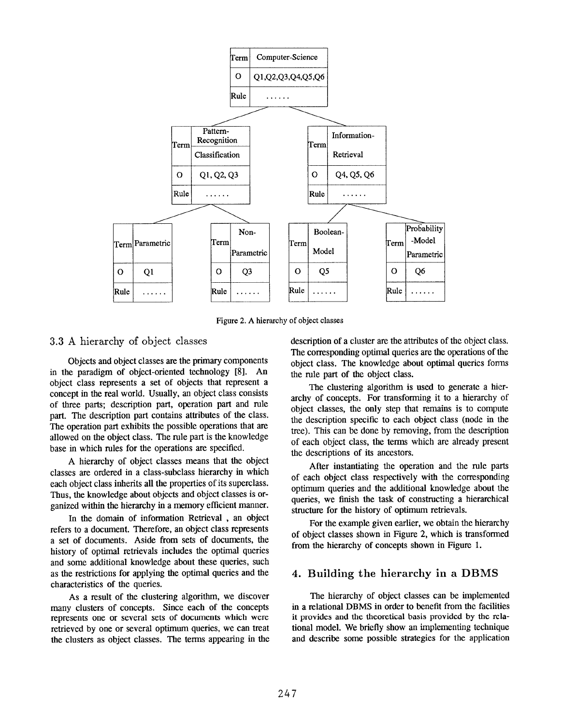

Figure 2. A hierarchy of object classes

### 3.3 A hierarchy of object classes

Objects and object classes are the primary components in the paradigm of object-oriented technology [8]. An object class represents a set of objects that represent a concept in the real world. Usually, an object class consists of three parts; description part, operation part and rule part. The description part contains attributes of the class. The operation part exhibits the possible operations that are allowed on the object class. The rule part is the knowledge base in which rules for the operations are specified.

A hierarchy of object classes means that the object classes are ordered in a class-subclass hierarchy in which each object class inherits all the properties of its superclass. Thus, the knowledge about objects and object classes is organized within the hierarchy in a memory efficient manner.

In the domain of information Retrieval , an object refers to a document. Therefore, an object class represents a set of documents. Aside from sets of documents, the history of optimal retrievals includes the optimal queries and some additional knowledge about these queries, such as the restrictions for applying the optimal queries and the characteristics of the queries.

As a result of the clustering algorithm, we discover many clusters of concepts. Since each of the concepts represents one or several sets of documents which were retrieved by one or severat optimum queries, we can treat the clusters as object classes. The terms appearing in the description of a cluster are the attributes of the object class. The corresponding optimal queries are the operations of the object class. The knowledge about optimal queries forms the rule part of the object class.

The clustering algorithm is used to generate a hierarchy of concepts. For transforming it to a hierarchy of object classes, the only step that remains is to compute the description specific to each object class (node in the tree). This can be done by removing, from the description of each object class, the terms which are already present the descriptions of its ancestors.

After instantiating the operation and the rule parts of each object class respectively with the corresponding optimum queries and the additional knowledge about lhe queries, we finish the task of constmcting a hierarchical structure for the history of optimum retrievals.

For the example given earlier, we obtain the hierarchy of object classes shown in Figure 2, which is transformed from the hierarchy of concepts shown in Figure 1.

### 4. Building the hierarchy in a DBMS

The hierarchy of object classes can be implemented in a relational DBMS in order to benefit from the facilities it provides and the theoretical basis provided by the relational model. We briefly show an implementing technique and describe some possible strategies for the application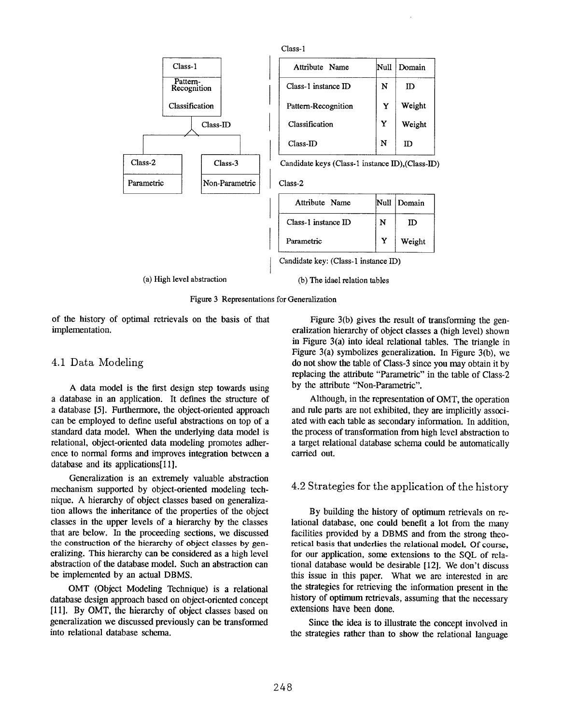



of the history of optimal retrievals on the basis of that implementation.

### 4.1 Data Modeling

A data model is the first design step towards using a database in an application. It defines the structure of a database [5]. Furthermore, the object-oriented approach can be employed to define useful abstractions on top of a standard data model. When the underlying data model is relational, object-oriented data modeling promotes adherence to normal forms and improves integration between a database and its applications[l 1].

Generalization is an extremely valuable abstraction mechanism supported by object-oriented modeling technique. A hierarchy of object classes based on generalization allows the inheritance of the properties of the object classes in the upper levels of a hierarchy by the classes that are below. In the proceeding sections, we discussed the construction of the hierarchy of object classes by generalizing. This hierarchy can be considered as a high level abstraction of the database model. Such an abstraction can be implemented by an actual DBMS.

OMT (Object Modeling Technique) is a relational database design approach based on object-oriented concept [111. By OMT, the hierarchy of object classes based on generalization we discussed previously can be transformed into relational database schema.

Figure 3(b) gives the result of transforming the generalization hierarchy of object classes a (high level) shown in Figure 3(a) into ideal relational tables. The triangle in Figure 3(a) symbolizes generalization. In Figure 3(b), we do not show the table of Class-3 since you may obtain it by replacing the attribute "Parametric" in the table of Class-2 by the attribute "Non-Parametric".

Although, in the representation of OMT, the operation and rule parts are not exhibited, they are implicitly associated with each table as secondary information. In addition, the process of transformation from high level abstraction to a target relational database schema could be automatically carried out.

### 4.2 Strategies for the application of the history

By building the history of optimum retrievals on relational database, one could benefit a lot from the many facilities provided by a DBMS and from the strong theoretical basis that underlies the relational model, Of course, for our application, some extensions to the SQL of relational database would be desirable [12]. We don't discuss this issue in this paper. What we are interested in arc the strategies for retrieving the information present in the history of optimum retrievals, assuming that the necessary extensions have been done.

Since the idea is to illustrate the concept involved in the strategies rather than to show the relational language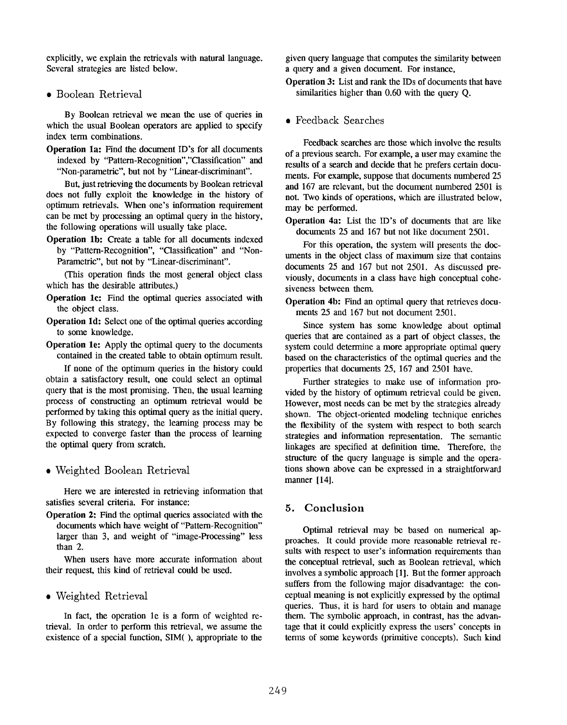explicitly, we explain the retrievals with natural language. Several strategies are listed below.

### ● Boolean Retrieval

By Boolean retrieval we mean the use of queries in which the usual Boolean operators are applied to specify index term combinations.

Operation 1a: Find the document ID's for all documents indexed by "Pattern-Recognition'',''Classification" and "Non-parametric", but not by "Linear-discriminant".

But, just retrieving the documents by Boolean retrieval does not fully exploit the knowledge in the history of optimum retrievals. When one's information requirement can be met by processing an optimal query in the history, the following operations will usually take place.

Operation lb: Create a table for all documents indexed by "Pattern-Recognition", "Classification" and "Non-Parametric", but not by "Linear-discriminant".

(This operation finds the most general object class which has the desirable attributes.)

- Operation lc: Find the optimal queries associated with the object class.
- Operation ld: Select one of the optimal queries according to some knowledge.
- Operation le: Apply the optimal query to the documents contained in the created table to obtain optimum result.

If none of the optimum queries in the history could obtain a satisfactory result, one could select an optimal query that is the most promising. Then, the usual learning process of constructing an optimum retrieval would be performed by taking this optimal query as the initial query. By following this strategy, the learning process may be expected to converge faster than the process of learning the optimal query from scratch.

● Weighted Boolean Retrieval

Here we are interested in retrieving information that satisfies several criteria. For instance:

Operation 2: Find the optimal queries associated with the documents which have weight of "Pattern-Recognition" larger than 3, and weight of "image-Processing" less than 2.

When users have more accurate information about their request, this kind of retrieval could be used.

### ● Weighted Retrieval

In fact, the operation le is a form of weighted retrieval. In order to perform this retrieval, we assume the existence of a special function, SIM( ), appropriate to the given query language that computes the similarity between a query and a given document. For instance,

Operation 3: List and rank the IDs of documents that have similarities higher than 0.60 with the query Q.

● Feedback Searches

Feedback searches are those which involve the results of a previous search. For example, a user may examine the results of a search and decide that he prefers certain documents. For example, suppose that documents numbered 25 and 167 are relevant, but the document numbered 2501 is not. TWO kinds of operations, which are illustrated below, may be performed.

Operation 4a: List the ID's of documents that are like documents 25 and 167 but not like document 2501.

For this operation, the system will presents the documents in the object class of maximum size that contains documents 25 and 167 but not 2501. As discussed previously, documents in a class have high conceptual cohesiveness between them.

Operation 4b: Find an optimal query that retrieves documents 25 and 167 but not document 2501.

Since system has some knowledge about optimal queries that are contained as a part of object classes, the system could determine a more appropriate optimal query based on the characteristics of the optimal queries and the properties that documents 25, 167 and 2501 have.

Further strategies to make use of information provided by the history of optimum retrieval could be given. However, most needs can be met by the strategies already shown. The object-oriented modeling technique enriches the flexibility of the system with respect to both search strategies and information representation. The semantic linkages are specified at definition time. Therefore, the structure of the query language is simple and the operations shown above can be expressed in a straightforwa manner [14].

### 5. Conclusion

Optimal retrieval may be based on numerical approaches. It could provide more reasonable retrieval re suits with respect to user's information requirements than the conceptual retrieval, such as Boolean retrieval, which involves a symbolic approach [1]. But the former approach suffers from the following major disadvantage: the coneptual meaning is not explicitly expressed by the optima~ queries. Thus, it is hard for users to obtain and manage them. The symbolic approach, in contrast, has the advantage that it could explicitly express the users' concepts in terms of some keywords (primitive concepts). Such kind